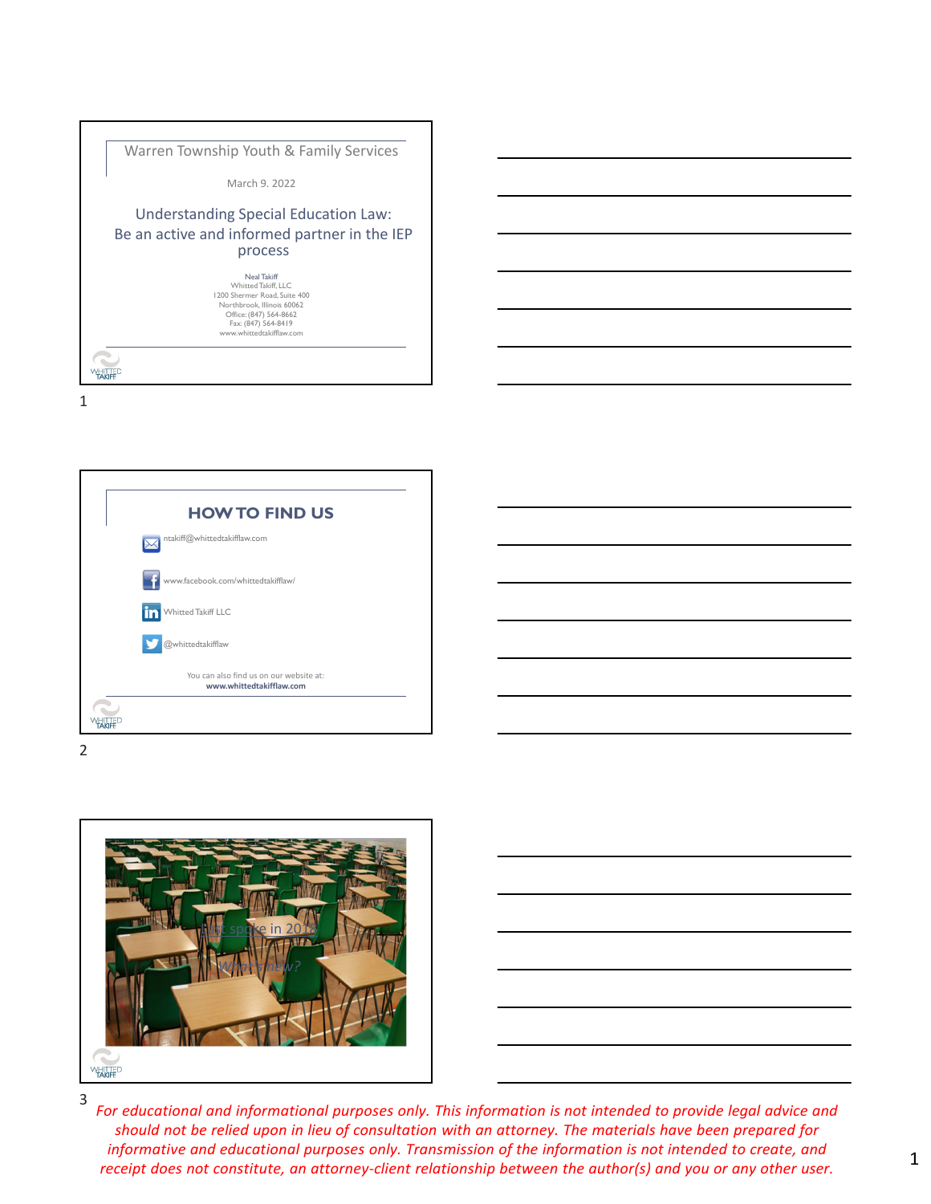



2



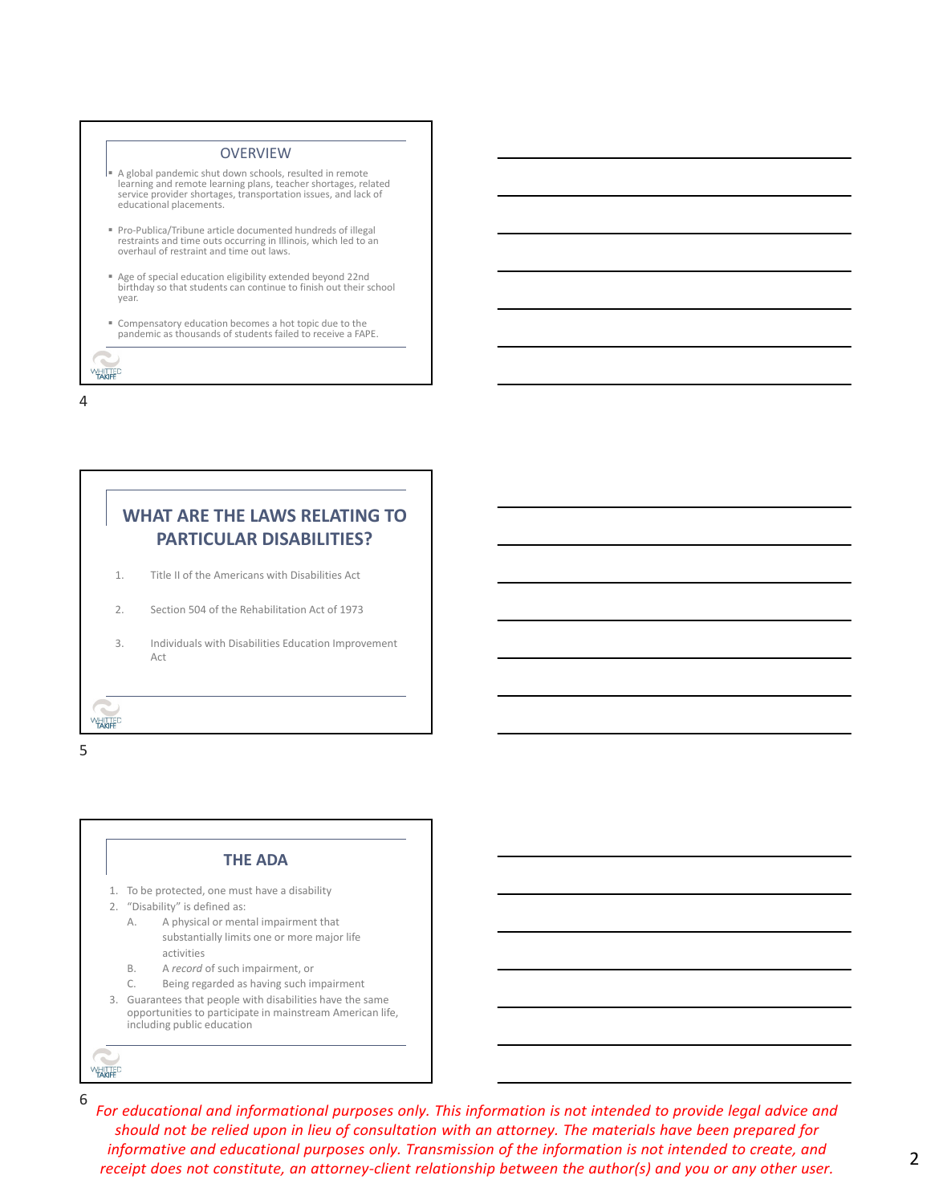

# **WHAT ARE THE LAWS RELATING TO PARTICULAR DISABILITIES?**

- 1. Title II of the Americans with Disabilities Act
- 2. Section 504 of the Rehabilitation Act of 1973
- 3. Individuals with Disabilities Education Improvement Act

5

**WHITTED** 

#### **THE ADA**

- 1. To be protected, one must have a disability
- 2. "Disability" is defined as:
	- A. A physical or mental impairment that substantially limits one or more major life activities
	- B. A *record* of such impairment, or
	- C. Being regarded as having such impairment
- 3. Guarantees that people with disabilities have the same opportunities to participate in mainstream American life, including public education

6

**WHITTED**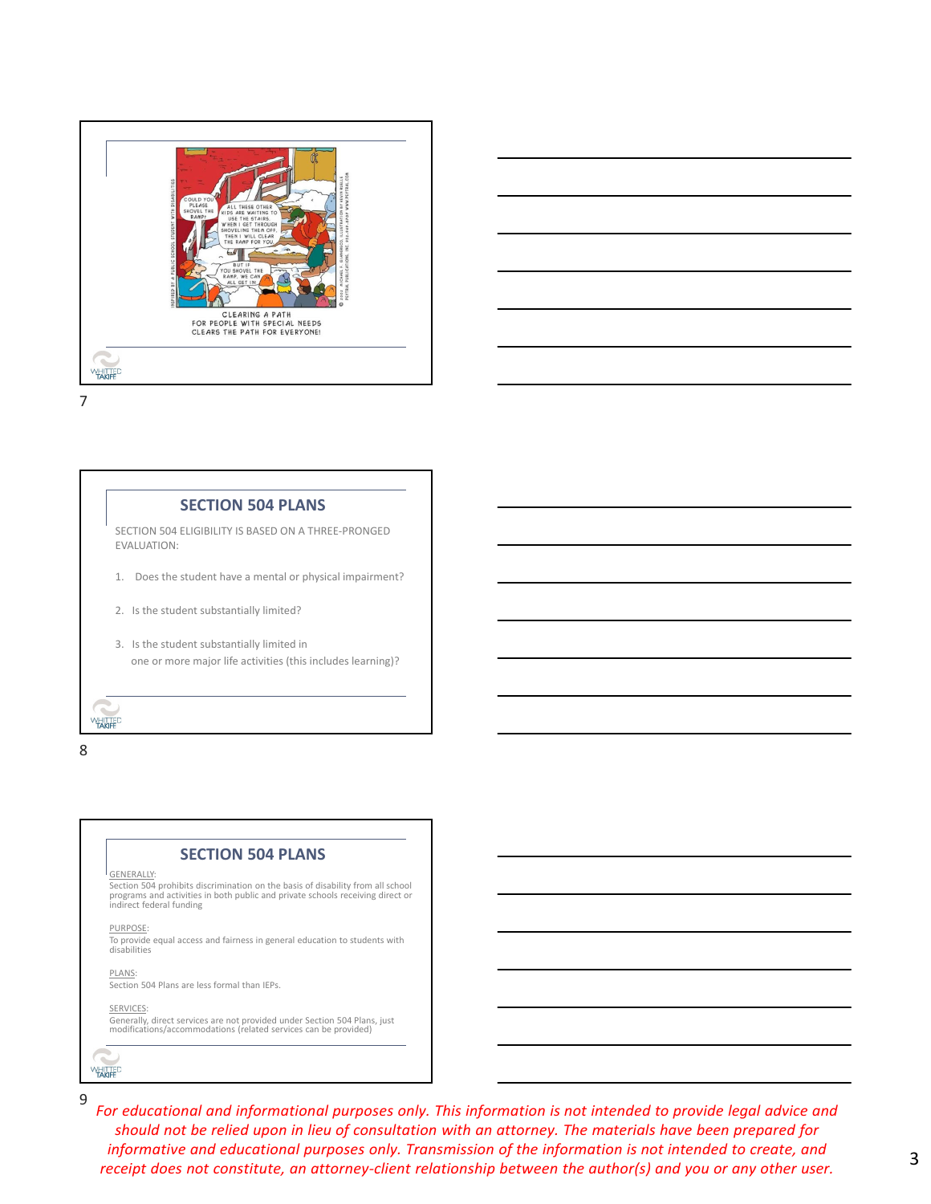



8

### **SECTION 504 PLANS**

GENERALLY:

Section 504 prohibits discrimination on the basis of disability from all school programs and activities in both public and private schools receiving direct or indirect federal funding

PURPOSE:

To provide equal access and fairness in general education to students with disabilities

PLANS:

Section 504 Plans are less formal than IEPs.

SERVICES:

Generally, direct services are not provided under Section 504 Plans, just modifications/accommodations (related services can be provided)

**WHITTED**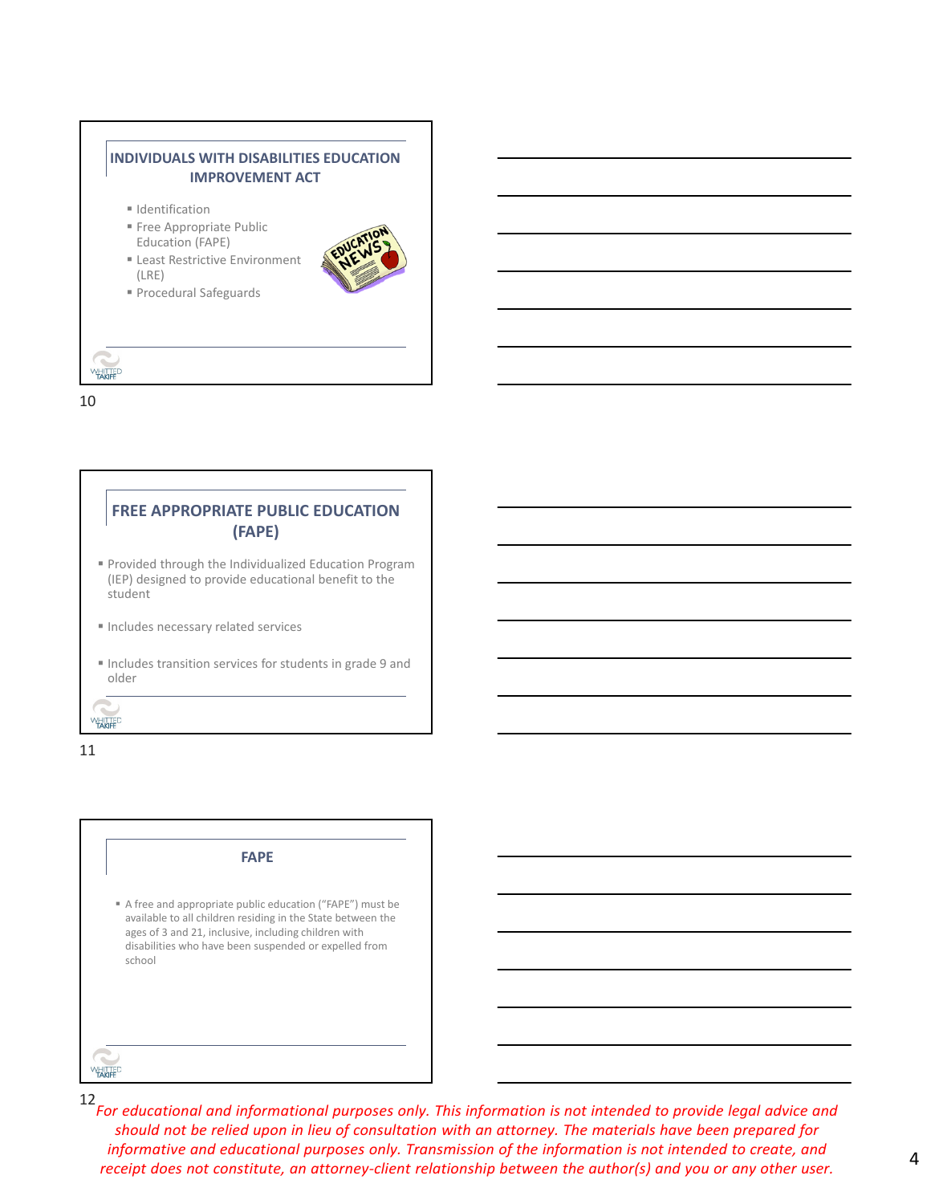



11

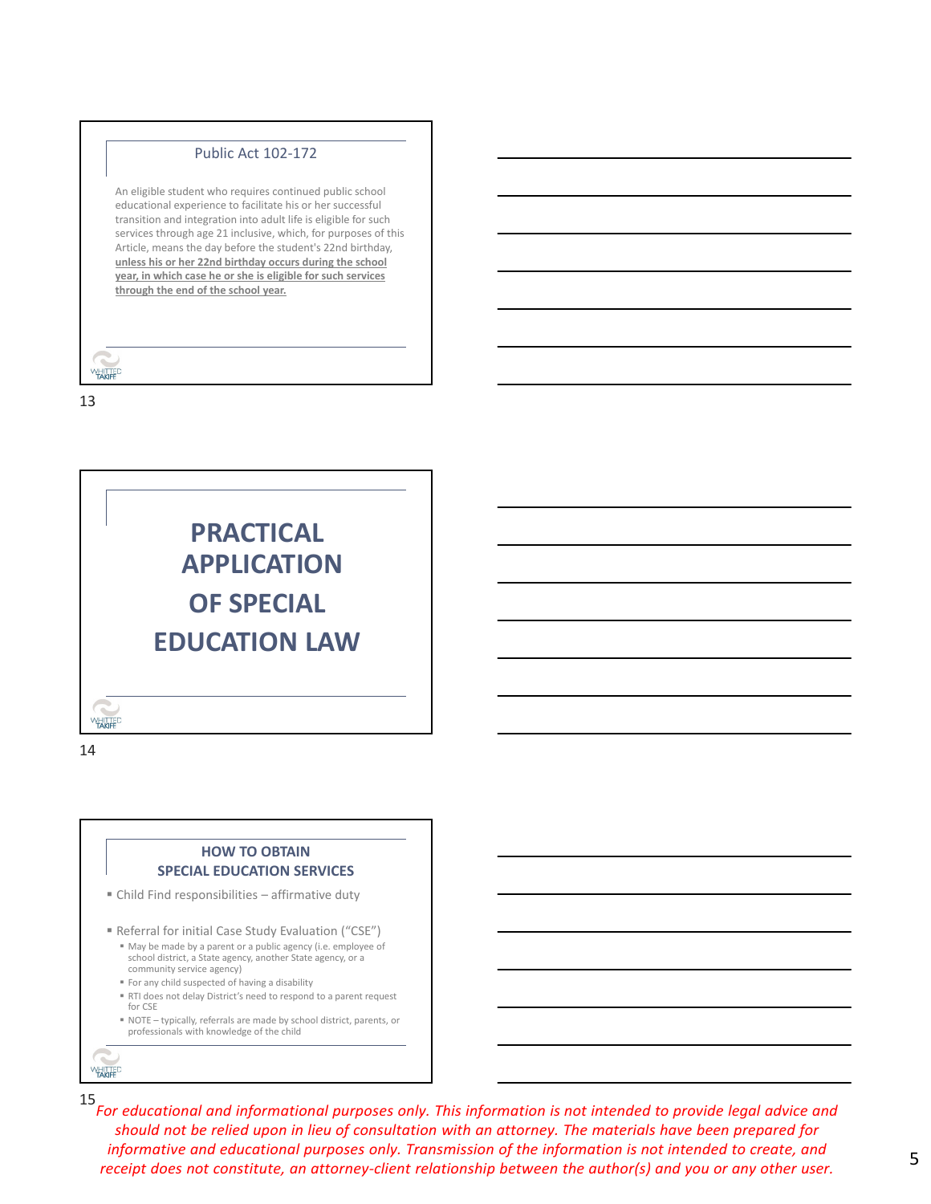#### Public Act 102‐172

An eligible student who requires continued public school educational experience to facilitate his or her successful transition and integration into adult life is eligible for such services through age 21 inclusive, which, for purposes of this Article, means the day before the student's 22nd birthday, **unless his or her 22nd birthday occurs during the school year, in which case he or she is eligible for such services through the end of the school year.**

| FILI<br>FAMEE |
|---------------|

13



14

#### **HOW TO OBTAIN SPECIAL EDUCATION SERVICES**

Child Find responsibilities – affirmative duty

- Referral for initial Case Study Evaluation ("CSE")
	- May be made by a parent or a public agency (i.e. employee of school district, a State agency, another State agency, or a community service agency)
- For any child suspected of having a disability
- RTI does not delay District's need to respond to a parent request for CSE
- NOTE typically, referrals are made by school district, parents, or professionals with knowledge of the child

**WHITTED**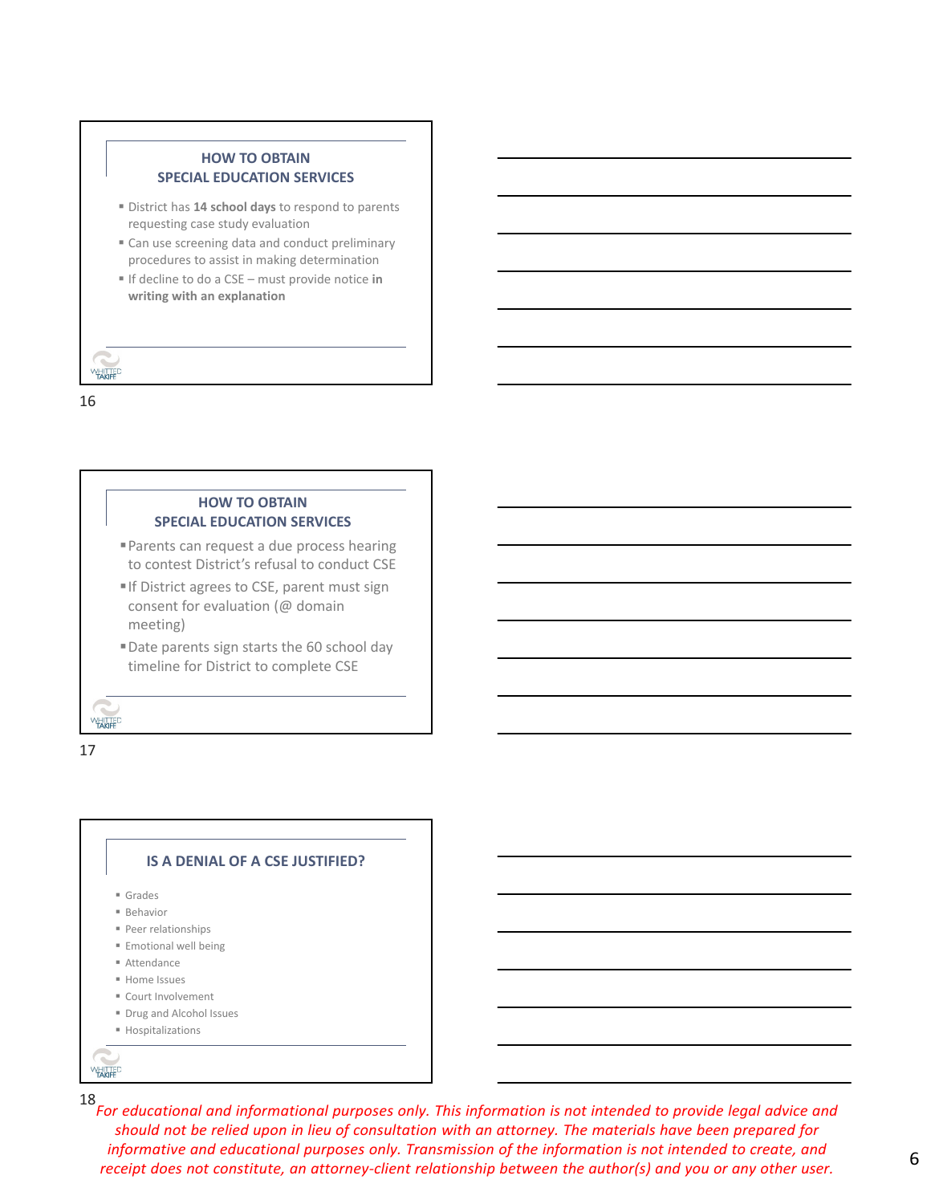### **HOW TO OBTAIN SPECIAL EDUCATION SERVICES**

- District has **14 school days** to respond to parents requesting case study evaluation
- Can use screening data and conduct preliminary procedures to assist in making determination
- If decline to do a CSE must provide notice **in writing with an explanation**

#### **WHITTED**

16

#### **HOW TO OBTAIN SPECIAL EDUCATION SERVICES**

- Parents can request a due process hearing to contest District's refusal to conduct CSE
- If District agrees to CSE, parent must sign consent for evaluation (@ domain meeting)
- Date parents sign starts the 60 school day timeline for District to complete CSE

17

**WHITTED** 

#### **IS A DENIAL OF A CSE JUSTIFIED?**

- Grades
- Behavior
- Peer relationships
- **Emotional well being**
- Attendance
- **Home Issues**
- Court Involvement
- **Drug and Alcohol Issues**
- **Hospitalizations**

**WHITTED**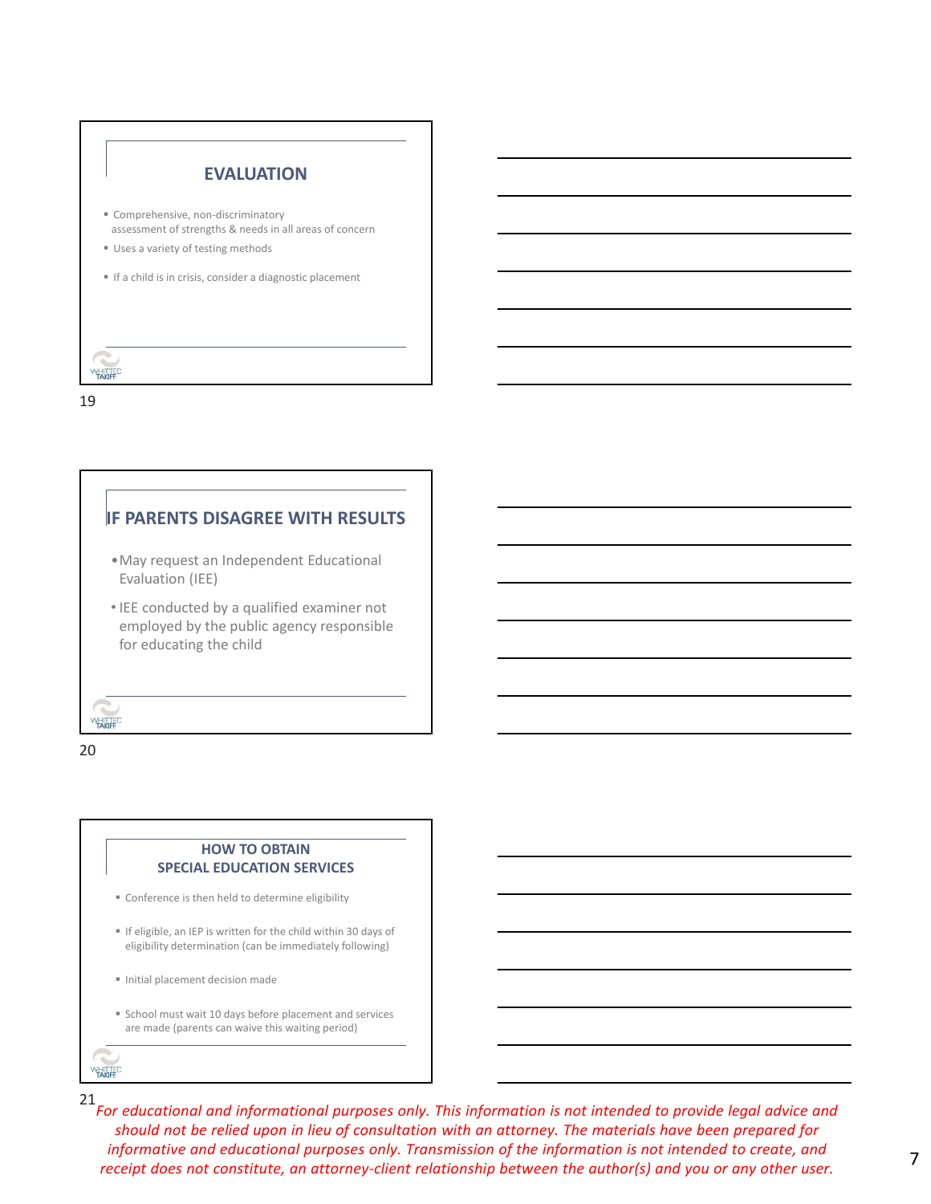

# **IF PARENTS DISAGREE WITH RESULTS**

- •May request an Independent Educational Evaluation (IEE)
- IEE conducted by a qualified examiner not employed by the public agency responsible for educating the child

20

**WHITTED** 

### **HOW TO OBTAIN SPECIAL EDUCATION SERVICES**

- Conference is then held to determine eligibility
- If eligible, an IEP is written for the child within 30 days of eligibility determination (can be immediately following)
- Initial placement decision made
- School must wait 10 days before placement and services are made (parents can waive this waiting period)

**WHITTED**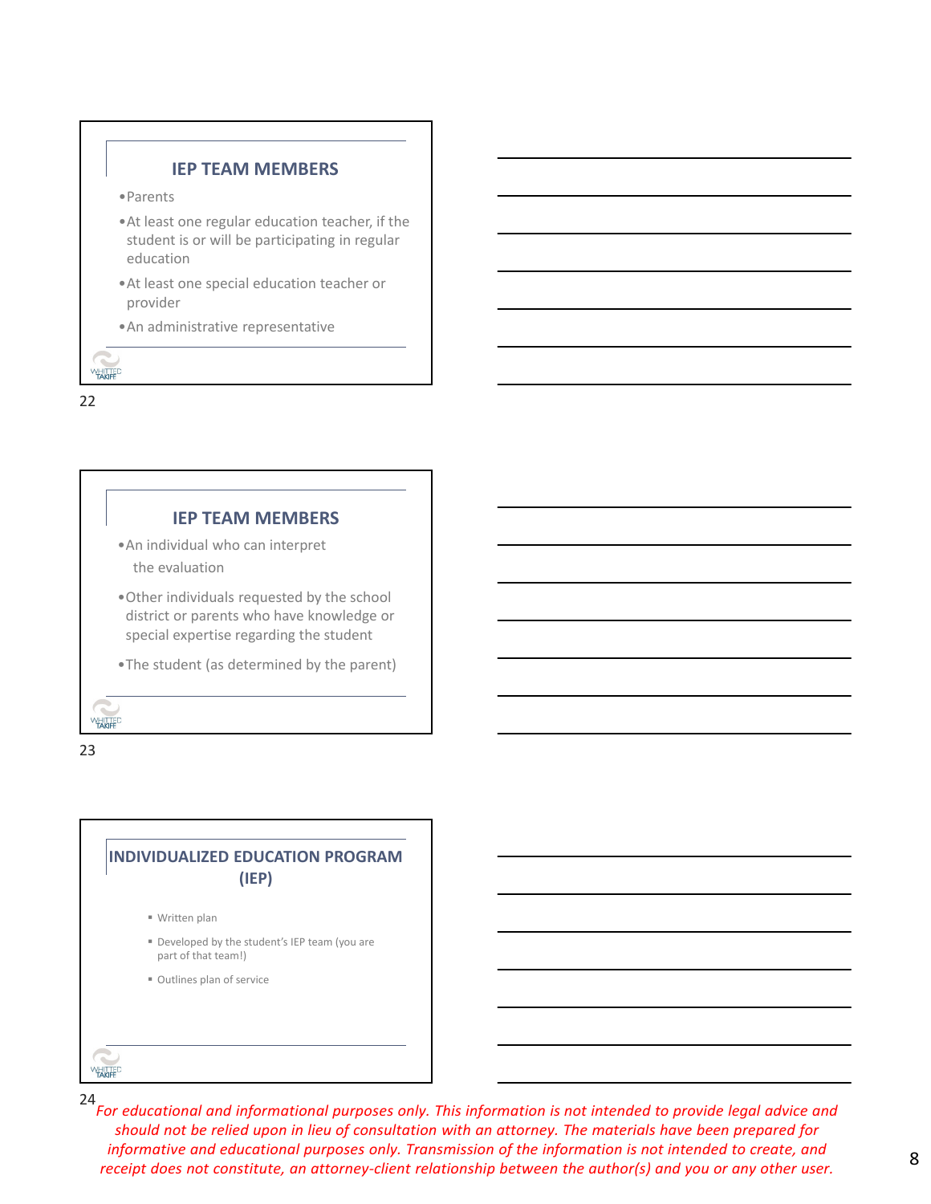### **IEP TEAM MEMBERS**

- •Parents
- •At least one regular education teacher, if the student is or will be participating in regular education
- •At least one special education teacher or provider
- •An administrative representative

22

**WHITTED** 

# **IEP TEAM MEMBERS**

- •An individual who can interpret the evaluation
- •Other individuals requested by the school district or parents who have knowledge or special expertise regarding the student
- •The student (as determined by the parent)

23

**WHITTED** 

# **INDIVIDUALIZED EDUCATION PROGRAM (IEP)**

- Written plan
- Developed by the student's IEP team (you are part of that team!)
- Outlines plan of service

**WHITTED**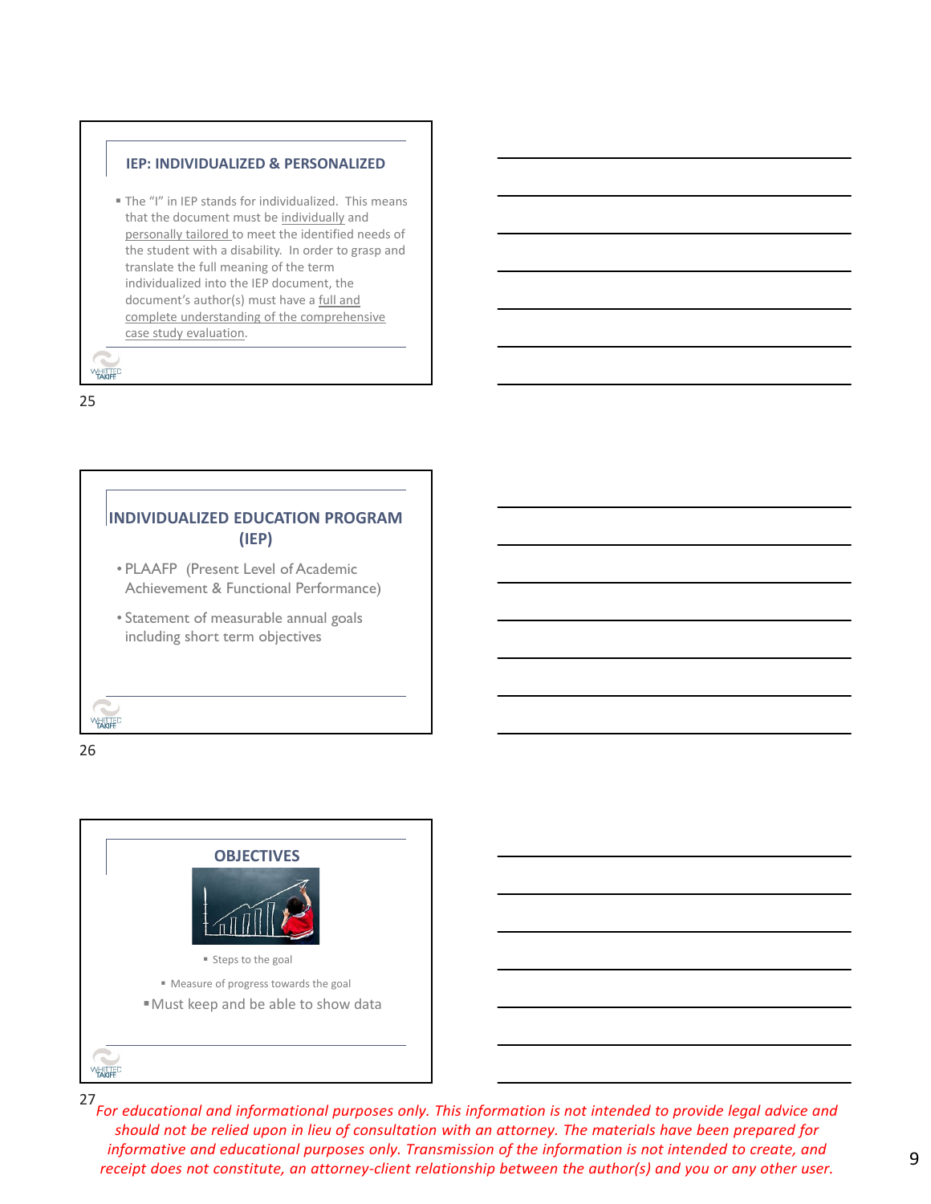#### **IEP: INDIVIDUALIZED & PERSONALIZED**

 The "I" in IEP stands for individualized. This means that the document must be individually and personally tailored to meet the identified needs of the student with a disability. In order to grasp and translate the full meaning of the term individualized into the IEP document, the document's author(s) must have a full and complete understanding of the comprehensive case study evaluation.

25

**WHITTED** 



26



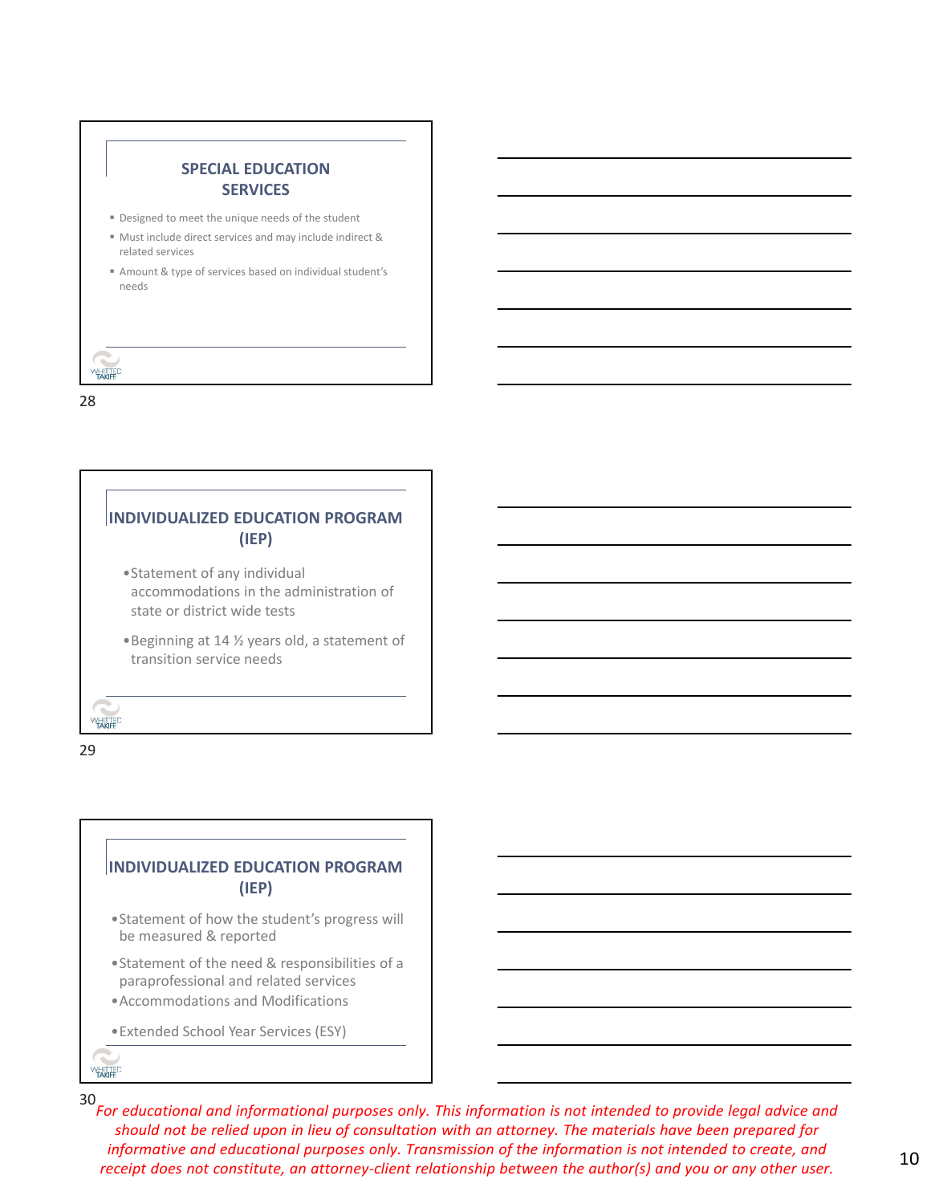



29

# **INDIVIDUALIZED EDUCATION PROGRAM (IEP)**

- •Statement of how the student's progress will be measured & reported
- •Statement of the need & responsibilities of a paraprofessional and related services
- •Accommodations and Modifications
- •Extended School Year Services (ESY)

**WHITTED**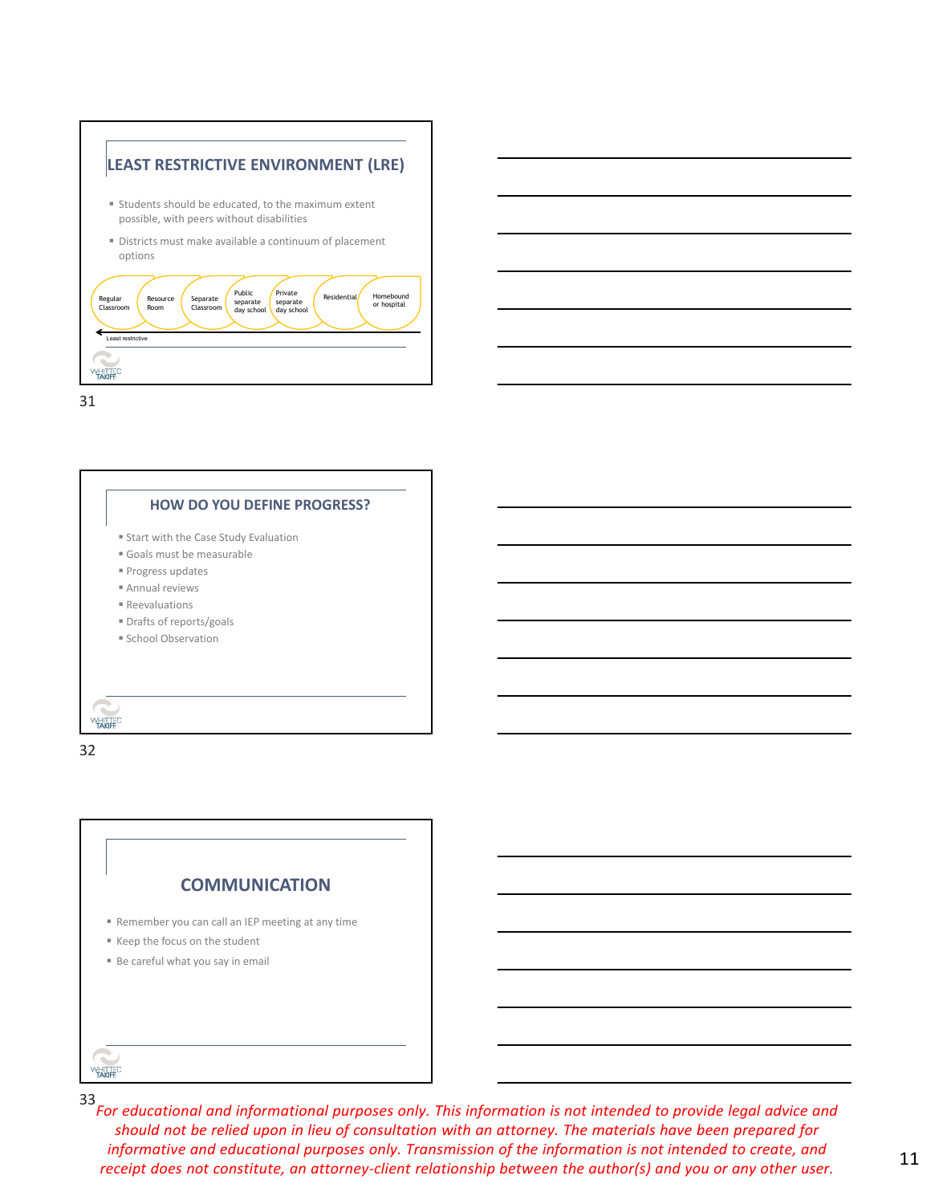



32

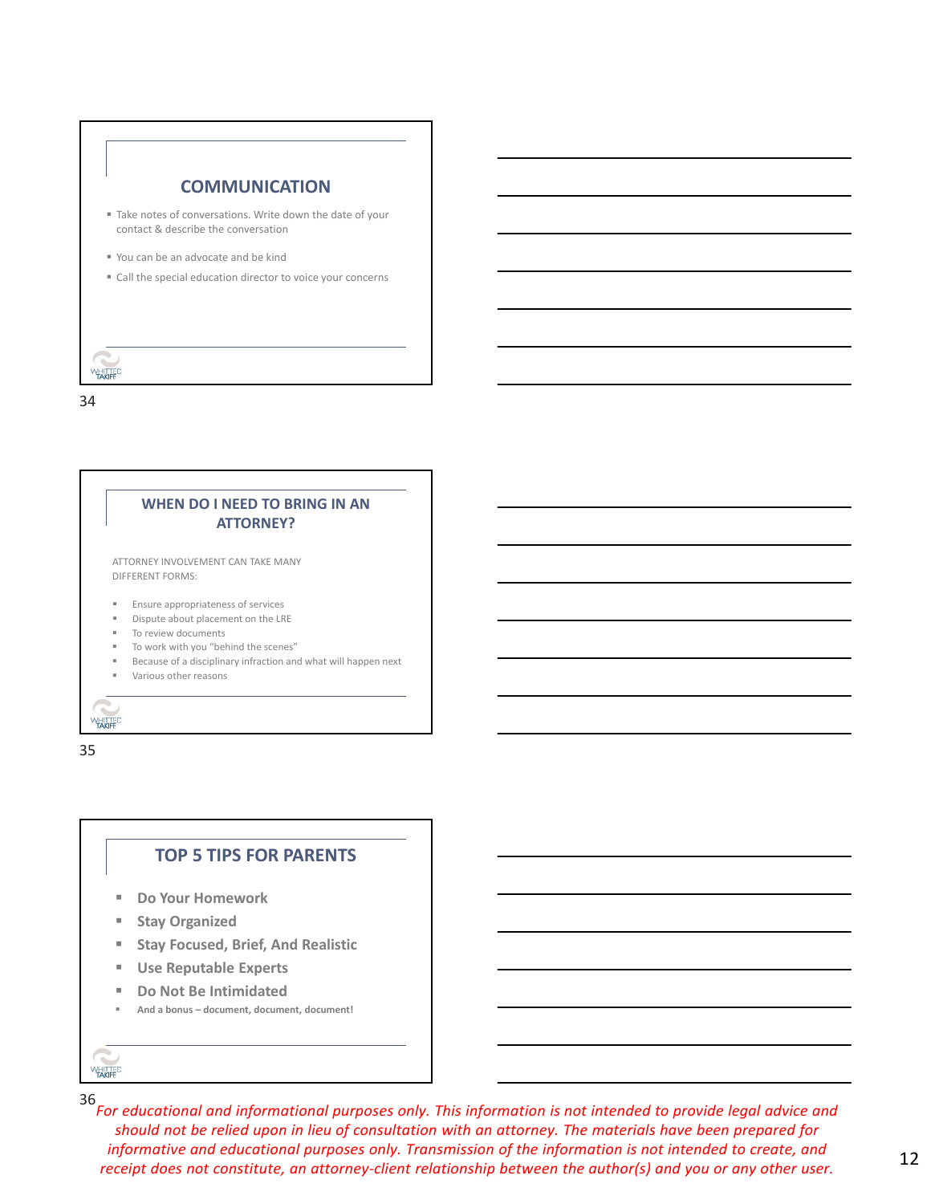



### **TOP 5 TIPS FOR PARENTS**

- **Do Your Homework**
- **F** Stay Organized
- **Stay Focused, Brief, And Realistic**
- **Use Reputable Experts**
- **Do Not Be Intimidated**
- **And a bonus document, document, document!**

**WHITTED**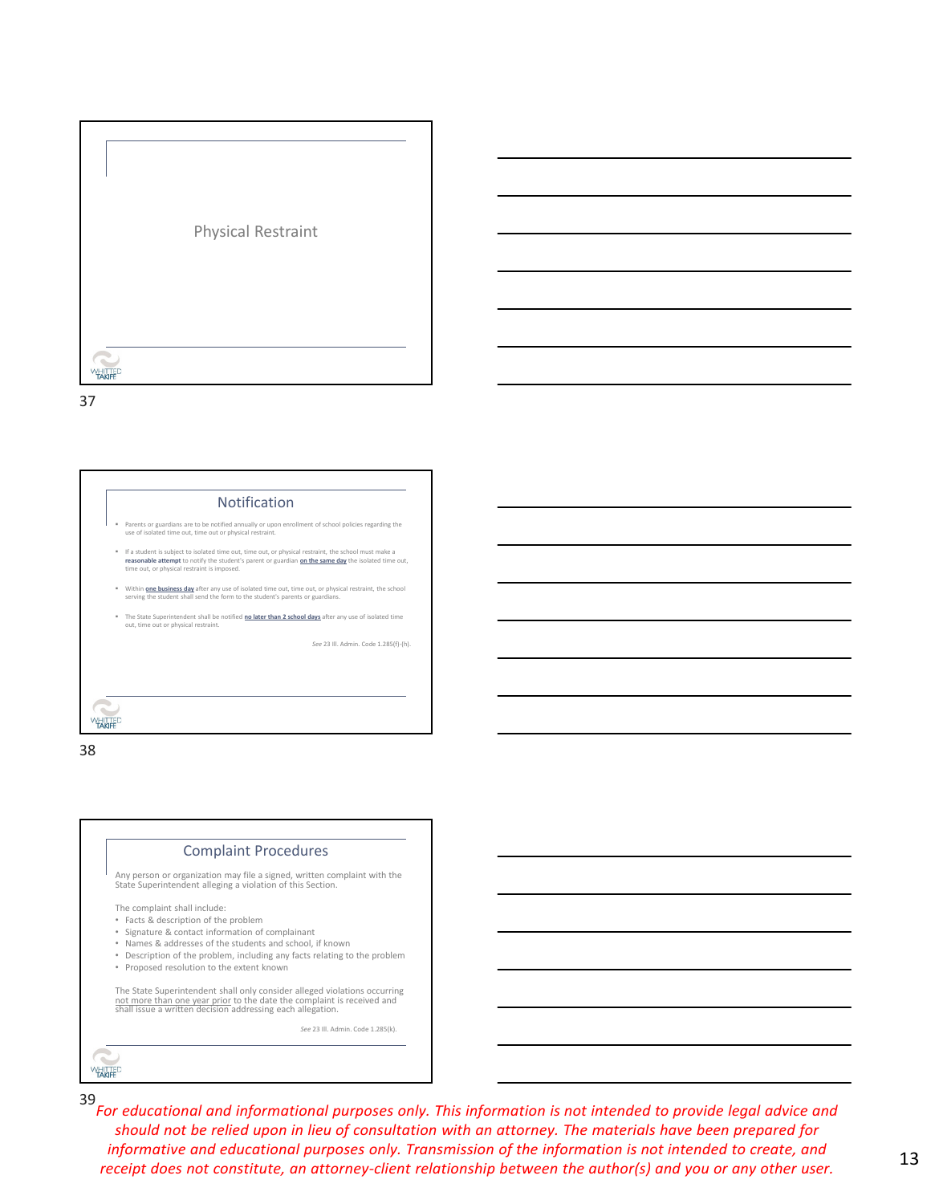



38

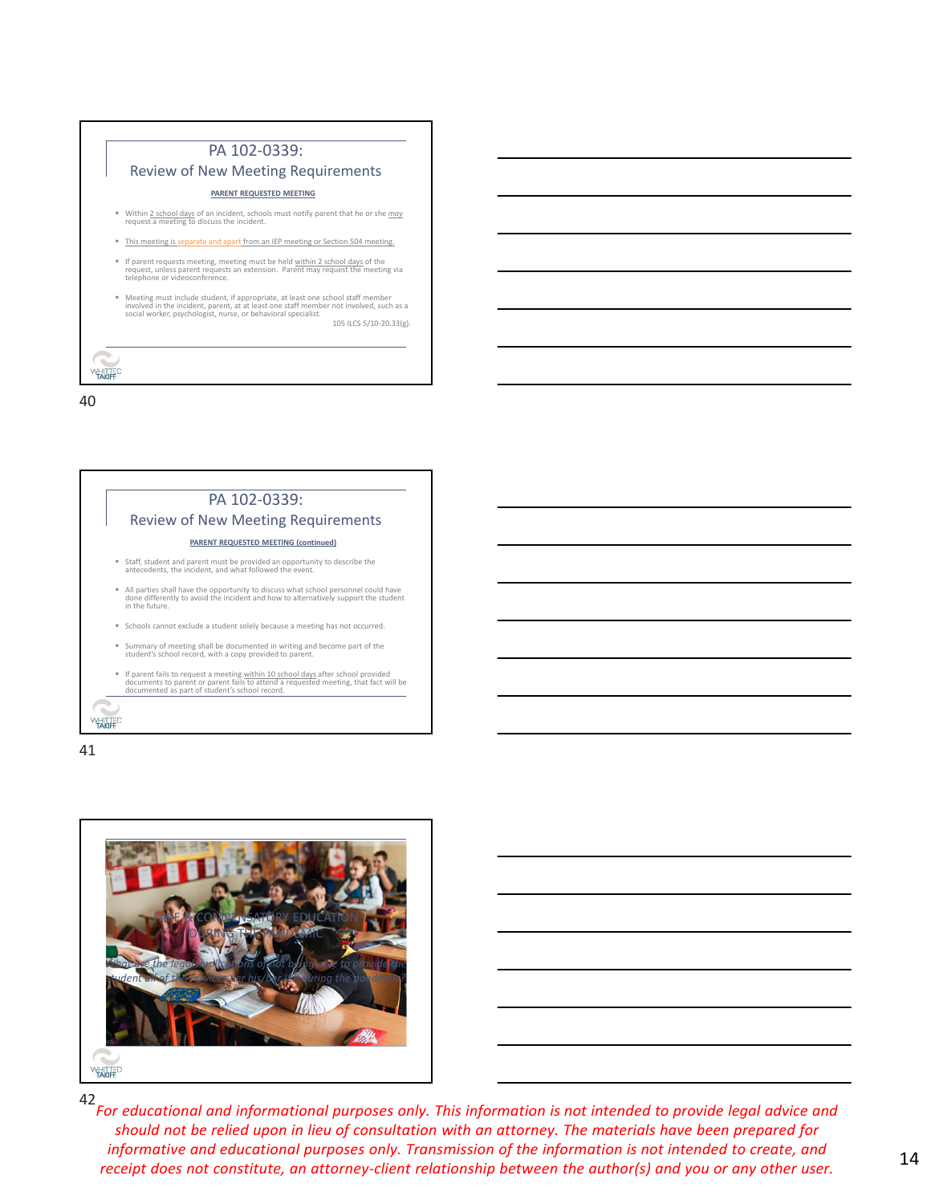|   | PA 102-0339:                                                                                                                                                                                                                                                           |
|---|------------------------------------------------------------------------------------------------------------------------------------------------------------------------------------------------------------------------------------------------------------------------|
|   | <b>Review of New Meeting Requirements</b>                                                                                                                                                                                                                              |
|   | PARENT REQUESTED MEETING                                                                                                                                                                                                                                               |
|   | " Within 2 school days of an incident, schools must notify parent that he or she may<br>request a meeting to discuss the incident.                                                                                                                                     |
|   | . This meeting is separate and apart from an IEP meeting or Section 504 meeting.                                                                                                                                                                                       |
| ٠ | If parent requests meeting, meeting must be held within 2 school days of the<br>request, unless parent requests an extension. Parent may request the meeting via<br>telephone or videoconference.                                                                      |
|   | ■ Meeting must include student, if appropriate, at least one school staff member<br>involved in the incident, parent, at at least one staff member not involved, such as a<br>social worker, psychologist, nurse, or behavioral specialist.<br>105 ILCS 5/10-20.33(g). |
|   |                                                                                                                                                                                                                                                                        |
|   |                                                                                                                                                                                                                                                                        |



41

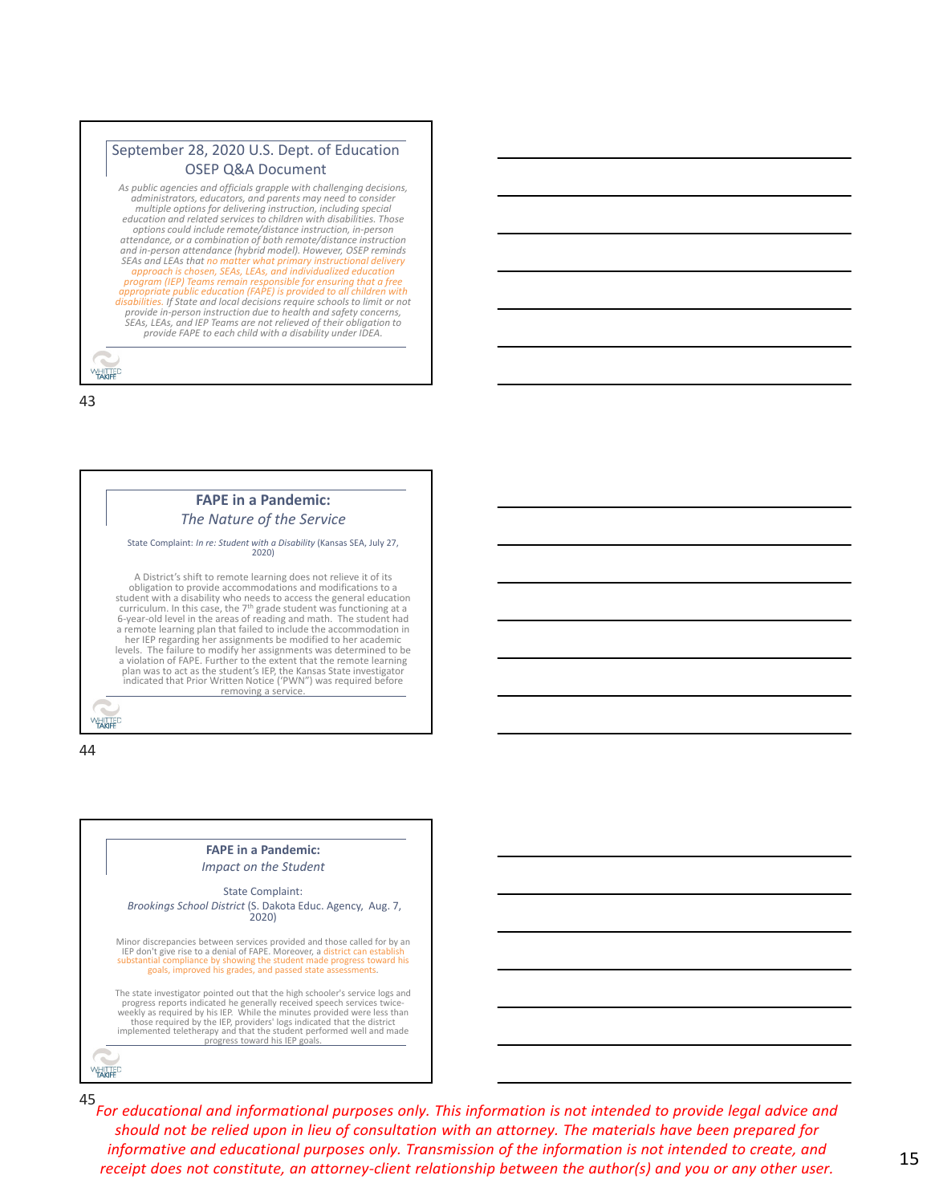### September 28, 2020 U.S. Dept. of Education OSEP Q&A Document

*As public agencies and officials grapple with challenging decisions,* administrators, educators, and parents may need to consider<br>multiple options for delivering instruction, including special *education and related services to children with disabilities. Those options could include remote/distance instruction, in‐person attendance, or a combination of both remote/distance instruction* and in-person attendance (hybrid model). However, OSEP reminds<br>SEAs and LEAs that no matter what primary instructional delivery *approach is chosen, SEAs, LEAs, and individualized education program (IEP) Teams remain responsible for ensuring that a free appropriate public education (FAPE) is provided to all children with* provide in-person instruction due to health and safety concerns,<br>SEAs, LEAs, and IEP Teams are not relieved of their obligation to<br>provide FAPE to each child with a disability under IDEA.

43

**WHITTED** 



44



45